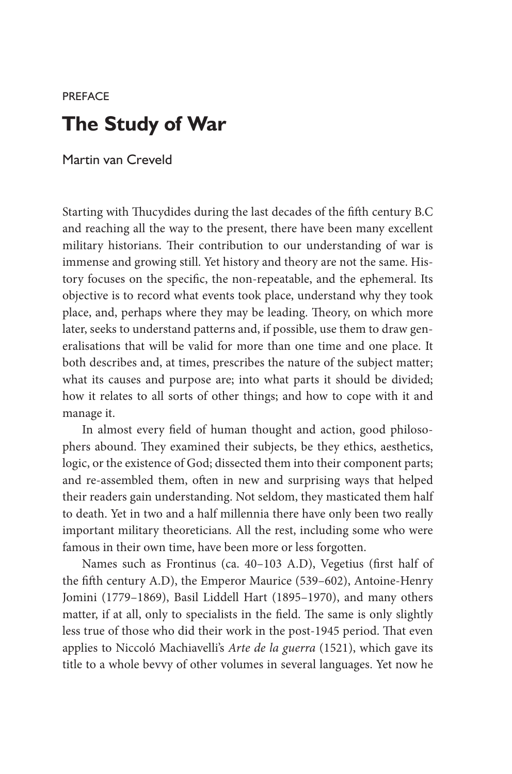## **PREFACE The Study of War**

Martin van Creveld

Starting with Thucydides during the last decades of the fifth century B.C and reaching all the way to the present, there have been many excellent military historians. Their contribution to our understanding of war is immense and growing still. Yet history and theory are not the same. History focuses on the specific, the non-repeatable, and the ephemeral. Its objective is to record what events took place, understand why they took place, and, perhaps where they may be leading. Theory, on which more later, seeks to understand patterns and, if possible, use them to draw generalisations that will be valid for more than one time and one place. It both describes and, at times, prescribes the nature of the subject matter; what its causes and purpose are; into what parts it should be divided; how it relates to all sorts of other things; and how to cope with it and manage it.

In almost every field of human thought and action, good philosophers abound. They examined their subjects, be they ethics, aesthetics, logic, or the existence of God; dissected them into their component parts; and re-assembled them, often in new and surprising ways that helped their readers gain understanding. Not seldom, they masticated them half to death. Yet in two and a half millennia there have only been two really important military theoreticians. All the rest, including some who were famous in their own time, have been more or less forgotten.

Names such as Frontinus (ca. 40–103 A.D), Vegetius (first half of the fifth century A.D), the Emperor Maurice (539–602), Antoine-Henry Jomini (1779–1869), Basil Liddell Hart (1895–1970), and many others matter, if at all, only to specialists in the field. The same is only slightly less true of those who did their work in the post-1945 period. That even applies to Niccoló Machiavelli's *Arte de la guerra* (1521), which gave its title to a whole bevvy of other volumes in several languages. Yet now he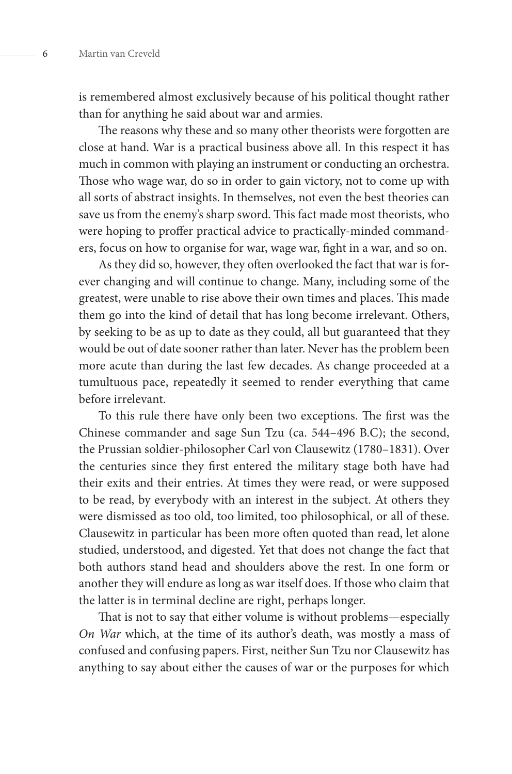is remembered almost exclusively because of his political thought rather than for anything he said about war and armies.

The reasons why these and so many other theorists were forgotten are close at hand. War is a practical business above all. In this respect it has much in common with playing an instrument or conducting an orchestra. Those who wage war, do so in order to gain victory, not to come up with all sorts of abstract insights. In themselves, not even the best theories can save us from the enemy's sharp sword. This fact made most theorists, who were hoping to proffer practical advice to practically-minded commanders, focus on how to organise for war, wage war, fight in a war, and so on.

As they did so, however, they often overlooked the fact that war is forever changing and will continue to change. Many, including some of the greatest, were unable to rise above their own times and places. This made them go into the kind of detail that has long become irrelevant. Others, by seeking to be as up to date as they could, all but guaranteed that they would be out of date sooner rather than later. Never has the problem been more acute than during the last few decades. As change proceeded at a tumultuous pace, repeatedly it seemed to render everything that came before irrelevant.

To this rule there have only been two exceptions. The first was the Chinese commander and sage Sun Tzu (ca. 544–496 B.C); the second, the Prussian soldier-philosopher Carl von Clausewitz (1780–1831). Over the centuries since they first entered the military stage both have had their exits and their entries. At times they were read, or were supposed to be read, by everybody with an interest in the subject. At others they were dismissed as too old, too limited, too philosophical, or all of these. Clausewitz in particular has been more often quoted than read, let alone studied, understood, and digested. Yet that does not change the fact that both authors stand head and shoulders above the rest. In one form or another they will endure as long as war itself does. If those who claim that the latter is in terminal decline are right, perhaps longer.

That is not to say that either volume is without problems—especially *On War* which, at the time of its author's death, was mostly a mass of confused and confusing papers. First, neither Sun Tzu nor Clausewitz has anything to say about either the causes of war or the purposes for which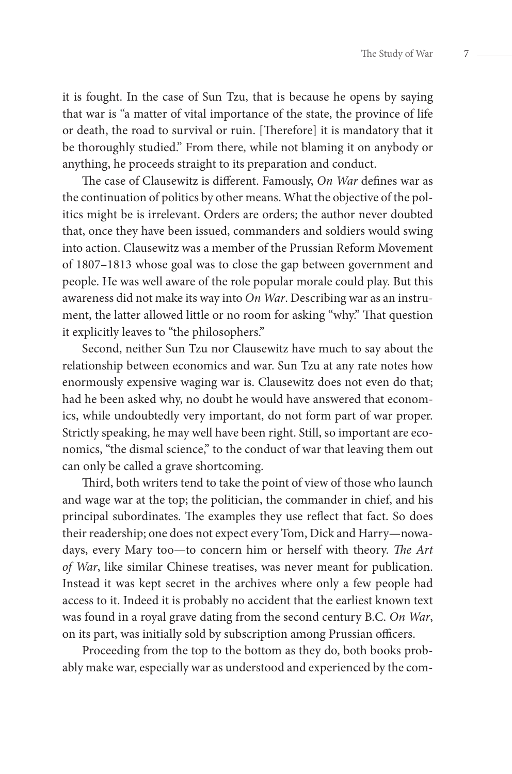it is fought. In the case of Sun Tzu, that is because he opens by saying that war is "a matter of vital importance of the state, the province of life or death, the road to survival or ruin. [Therefore] it is mandatory that it be thoroughly studied." From there, while not blaming it on anybody or anything, he proceeds straight to its preparation and conduct.

The case of Clausewitz is different. Famously, *On War* defines war as the continuation of politics by other means. What the objective of the politics might be is irrelevant. Orders are orders; the author never doubted that, once they have been issued, commanders and soldiers would swing into action. Clausewitz was a member of the Prussian Reform Movement of 1807–1813 whose goal was to close the gap between government and people. He was well aware of the role popular morale could play. But this awareness did not make its way into *On War*. Describing war as an instrument, the latter allowed little or no room for asking "why." That question it explicitly leaves to "the philosophers."

Second, neither Sun Tzu nor Clausewitz have much to say about the relationship between economics and war. Sun Tzu at any rate notes how enormously expensive waging war is. Clausewitz does not even do that; had he been asked why, no doubt he would have answered that economics, while undoubtedly very important, do not form part of war proper. Strictly speaking, he may well have been right. Still, so important are economics, "the dismal science," to the conduct of war that leaving them out can only be called a grave shortcoming.

Third, both writers tend to take the point of view of those who launch and wage war at the top; the politician, the commander in chief, and his principal subordinates. The examples they use reflect that fact. So does their readership; one does not expect every Tom, Dick and Harry—nowadays, every Mary too—to concern him or herself with theory. *The Art of War*, like similar Chinese treatises, was never meant for publication. Instead it was kept secret in the archives where only a few people had access to it. Indeed it is probably no accident that the earliest known text was found in a royal grave dating from the second century B.C. *On War*, on its part, was initially sold by subscription among Prussian officers.

Proceeding from the top to the bottom as they do, both books probably make war, especially war as understood and experienced by the com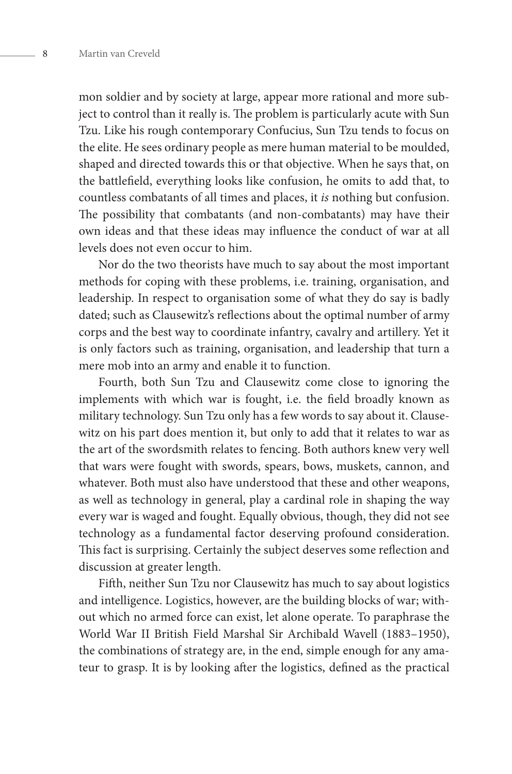mon soldier and by society at large, appear more rational and more subject to control than it really is. The problem is particularly acute with Sun Tzu. Like his rough contemporary Confucius, Sun Tzu tends to focus on the elite. He sees ordinary people as mere human material to be moulded, shaped and directed towards this or that objective. When he says that, on the battlefield, everything looks like confusion, he omits to add that, to countless combatants of all times and places, it *is* nothing but confusion. The possibility that combatants (and non-combatants) may have their own ideas and that these ideas may influence the conduct of war at all levels does not even occur to him.

Nor do the two theorists have much to say about the most important methods for coping with these problems, i.e. training, organisation, and leadership. In respect to organisation some of what they do say is badly dated; such as Clausewitz's reflections about the optimal number of army corps and the best way to coordinate infantry, cavalry and artillery. Yet it is only factors such as training, organisation, and leadership that turn a mere mob into an army and enable it to function.

Fourth, both Sun Tzu and Clausewitz come close to ignoring the implements with which war is fought, i.e. the field broadly known as military technology. Sun Tzu only has a few words to say about it. Clausewitz on his part does mention it, but only to add that it relates to war as the art of the swordsmith relates to fencing. Both authors knew very well that wars were fought with swords, spears, bows, muskets, cannon, and whatever. Both must also have understood that these and other weapons, as well as technology in general, play a cardinal role in shaping the way every war is waged and fought. Equally obvious, though, they did not see technology as a fundamental factor deserving profound consideration. This fact is surprising. Certainly the subject deserves some reflection and discussion at greater length.

Fifth, neither Sun Tzu nor Clausewitz has much to say about logistics and intelligence. Logistics, however, are the building blocks of war; without which no armed force can exist, let alone operate. To paraphrase the World War II British Field Marshal Sir Archibald Wavell (1883–1950), the combinations of strategy are, in the end, simple enough for any amateur to grasp. It is by looking after the logistics, defined as the practical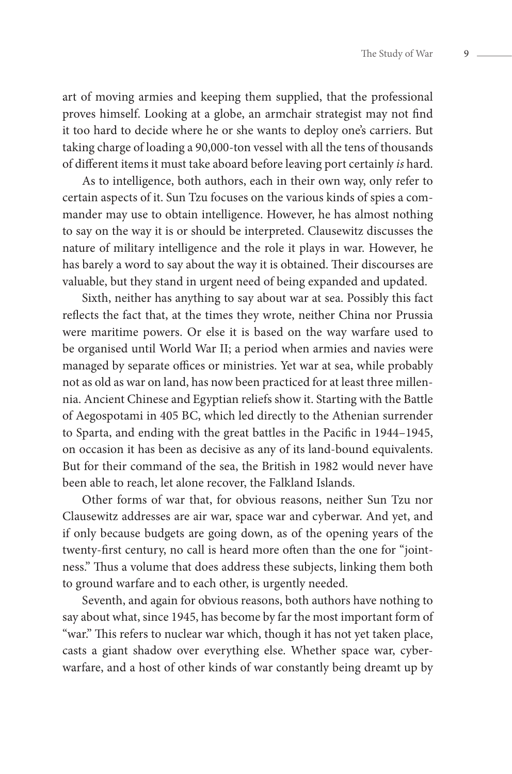art of moving armies and keeping them supplied, that the professional proves himself. Looking at a globe, an armchair strategist may not find it too hard to decide where he or she wants to deploy one's carriers. But taking charge of loading a 90,000-ton vessel with all the tens of thousands of different items it must take aboard before leaving port certainly *is* hard.

As to intelligence, both authors, each in their own way, only refer to certain aspects of it. Sun Tzu focuses on the various kinds of spies a commander may use to obtain intelligence. However, he has almost nothing to say on the way it is or should be interpreted. Clausewitz discusses the nature of military intelligence and the role it plays in war. However, he has barely a word to say about the way it is obtained. Their discourses are valuable, but they stand in urgent need of being expanded and updated.

Sixth, neither has anything to say about war at sea. Possibly this fact reflects the fact that, at the times they wrote, neither China nor Prussia were maritime powers. Or else it is based on the way warfare used to be organised until World War II; a period when armies and navies were managed by separate offices or ministries. Yet war at sea, while probably not as old as war on land, has now been practiced for at least three millennia. Ancient Chinese and Egyptian reliefs show it. Starting with the Battle of Aegospotami in 405 BC, which led directly to the Athenian surrender to Sparta, and ending with the great battles in the Pacific in 1944–1945, on occasion it has been as decisive as any of its land-bound equivalents. But for their command of the sea, the British in 1982 would never have been able to reach, let alone recover, the Falkland Islands.

Other forms of war that, for obvious reasons, neither Sun Tzu nor Clausewitz addresses are air war, space war and cyberwar. And yet, and if only because budgets are going down, as of the opening years of the twenty-first century, no call is heard more often than the one for "jointness." Thus a volume that does address these subjects, linking them both to ground warfare and to each other, is urgently needed.

Seventh, and again for obvious reasons, both authors have nothing to say about what, since 1945, has become by far the most important form of "war." This refers to nuclear war which, though it has not yet taken place, casts a giant shadow over everything else. Whether space war, cyberwarfare, and a host of other kinds of war constantly being dreamt up by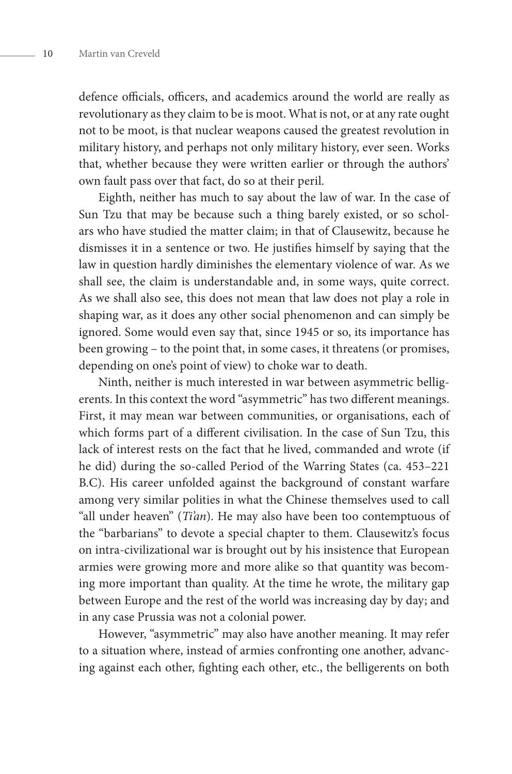defence officials, officers, and academics around the world are really as revolutionary as they claim to be is moot. What is not, or at any rate ought not to be moot, is that nuclear weapons caused the greatest revolution in military history, and perhaps not only military history, ever seen. Works that, whether because they were written earlier or through the authors' own fault pass over that fact, do so at their peril.

Eighth, neither has much to say about the law of war. In the case of Sun Tzu that may be because such a thing barely existed, or so scholars who have studied the matter claim; in that of Clausewitz, because he dismisses it in a sentence or two. He justifies himself by saying that the law in question hardly diminishes the elementary violence of war. As we shall see, the claim is understandable and, in some ways, quite correct. As we shall also see, this does not mean that law does not play a role in shaping war, as it does any other social phenomenon and can simply be ignored. Some would even say that, since 1945 or so, its importance has been growing – to the point that, in some cases, it threatens (or promises, depending on one's point of view) to choke war to death.

Ninth, neither is much interested in war between asymmetric belligerents. In this context the word "asymmetric" has two different meanings. First, it may mean war between communities, or organisations, each of which forms part of a different civilisation. In the case of Sun Tzu, this lack of interest rests on the fact that he lived, commanded and wrote (if he did) during the so-called Period of the Warring States (ca. 453–221 B.C). His career unfolded against the background of constant warfare among very similar polities in what the Chinese themselves used to call "all under heaven" (*Ti'an*). He may also have been too contemptuous of the "barbarians" to devote a special chapter to them. Clausewitz's focus on intra-civilizational war is brought out by his insistence that European armies were growing more and more alike so that quantity was becoming more important than quality. At the time he wrote, the military gap between Europe and the rest of the world was increasing day by day; and in any case Prussia was not a colonial power.

However, "asymmetric" may also have another meaning. It may refer to a situation where, instead of armies confronting one another, advancing against each other, fighting each other, etc., the belligerents on both